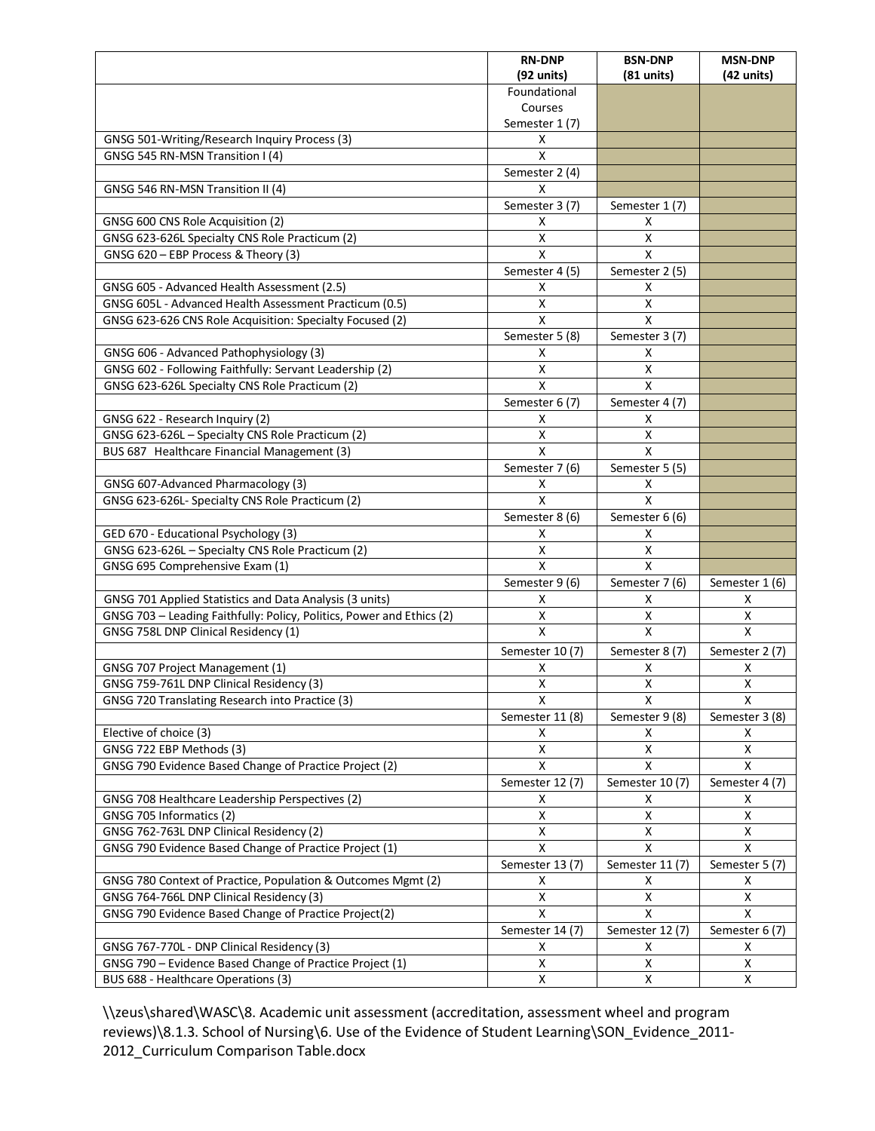|                                                                                                               | <b>RN-DNP</b>           | <b>BSN-DNP</b>          | <b>MSN-DNP</b>       |
|---------------------------------------------------------------------------------------------------------------|-------------------------|-------------------------|----------------------|
|                                                                                                               | $(92 \text{ units})$    | $(81$ units)            | $(42 \text{ units})$ |
|                                                                                                               | Foundational            |                         |                      |
|                                                                                                               | Courses                 |                         |                      |
|                                                                                                               | Semester 1 (7)          |                         |                      |
| GNSG 501-Writing/Research Inquiry Process (3)                                                                 | X                       |                         |                      |
| GNSG 545 RN-MSN Transition I (4)                                                                              | Χ                       |                         |                      |
|                                                                                                               | Semester 2 (4)          |                         |                      |
| GNSG 546 RN-MSN Transition II (4)                                                                             | X                       |                         |                      |
|                                                                                                               | Semester 3 (7)          | Semester 1 (7)          |                      |
| GNSG 600 CNS Role Acquisition (2)                                                                             | Χ                       | x                       |                      |
| GNSG 623-626L Specialty CNS Role Practicum (2)                                                                | X                       | $\pmb{\times}$          |                      |
| GNSG 620 - EBP Process & Theory (3)                                                                           | $\mathsf{x}$            | $\mathsf{x}$            |                      |
|                                                                                                               | Semester 4 (5)          | Semester 2 (5)          |                      |
| GNSG 605 - Advanced Health Assessment (2.5)                                                                   | X                       | X                       |                      |
| GNSG 605L - Advanced Health Assessment Practicum (0.5)                                                        | X                       | X                       |                      |
| GNSG 623-626 CNS Role Acquisition: Specialty Focused (2)                                                      | X                       | X                       |                      |
|                                                                                                               | Semester 5 (8)          | Semester 3 (7)          |                      |
| GNSG 606 - Advanced Pathophysiology (3)                                                                       | х                       | х                       |                      |
| GNSG 602 - Following Faithfully: Servant Leadership (2)                                                       | X                       | X                       |                      |
| GNSG 623-626L Specialty CNS Role Practicum (2)                                                                | $\mathsf{x}$            | $\mathsf{x}$            |                      |
|                                                                                                               | Semester 6 (7)          | Semester 4 (7)          |                      |
| GNSG 622 - Research Inquiry (2)                                                                               | x                       | х                       |                      |
| GNSG 623-626L - Specialty CNS Role Practicum (2)                                                              | $\pmb{\mathsf{X}}$      | $\pmb{\mathsf{X}}$      |                      |
| BUS 687 Healthcare Financial Management (3)                                                                   | $\mathsf{\overline{X}}$ | $\mathsf{x}$            |                      |
|                                                                                                               | Semester 7 (6)          | Semester 5 (5)          |                      |
| GNSG 607-Advanced Pharmacology (3)                                                                            | х                       | х                       |                      |
| GNSG 623-626L- Specialty CNS Role Practicum (2)                                                               | X                       | X                       |                      |
|                                                                                                               | Semester 8 (6)          | Semester 6 (6)          |                      |
| GED 670 - Educational Psychology (3)                                                                          | х                       | х                       |                      |
| GNSG 623-626L - Specialty CNS Role Practicum (2)                                                              | X                       | Χ<br>$\overline{X}$     |                      |
| GNSG 695 Comprehensive Exam (1)                                                                               | X                       |                         |                      |
|                                                                                                               | Semester 9 (6)          | Semester 7 (6)          | Semester 1 (6)       |
| GNSG 701 Applied Statistics and Data Analysis (3 units)                                                       | x<br>X                  | х<br>$\pmb{\mathsf{X}}$ | x<br>X               |
| GNSG 703 - Leading Faithfully: Policy, Politics, Power and Ethics (2)<br>GNSG 758L DNP Clinical Residency (1) | X                       | X                       | $\mathsf{x}$         |
|                                                                                                               |                         |                         |                      |
|                                                                                                               | Semester 10 (7)         | Semester 8 (7)          | Semester 2 (7)       |
| GNSG 707 Project Management (1)                                                                               | X                       | X                       | X                    |
| GNSG 759-761L DNP Clinical Residency (3)                                                                      | $\overline{\mathsf{x}}$ | $\pmb{\mathsf{X}}$      | $\pmb{\times}$       |
| GNSG 720 Translating Research into Practice (3)                                                               | Χ                       | Χ                       | Χ                    |
|                                                                                                               | Semester 11 (8)         | Semester 9 (8)          | Semester 3 (8)       |
| Elective of choice (3)                                                                                        | X                       | Χ                       | Χ                    |
| GNSG 722 EBP Methods (3)                                                                                      | X                       | х                       | X                    |
| GNSG 790 Evidence Based Change of Practice Project (2)                                                        | X                       | X                       | X                    |
|                                                                                                               | Semester 12 (7)         | Semester 10 (7)         | Semester 4 (7)       |
| GNSG 708 Healthcare Leadership Perspectives (2)                                                               | x                       | х                       | х                    |
| GNSG 705 Informatics (2)                                                                                      | X                       | X                       | х                    |
| GNSG 762-763L DNP Clinical Residency (2)                                                                      | X<br>$\mathsf{x}$       | X<br>$\mathsf{x}$       | X<br>$\mathsf{x}$    |
| GNSG 790 Evidence Based Change of Practice Project (1)                                                        |                         |                         |                      |
|                                                                                                               | Semester 13 (7)         | Semester 11 (7)         | Semester 5 (7)       |
| GNSG 780 Context of Practice, Population & Outcomes Mgmt (2)                                                  | X                       | X                       | Χ                    |
| GNSG 764-766L DNP Clinical Residency (3)                                                                      | X                       | X                       | X                    |
| GNSG 790 Evidence Based Change of Practice Project(2)                                                         | X                       | X                       | X                    |
|                                                                                                               | Semester 14 (7)         | Semester 12 (7)         | Semester 6 (7)       |
| GNSG 767-770L - DNP Clinical Residency (3)                                                                    | X                       | х                       | X                    |
| GNSG 790 - Evidence Based Change of Practice Project (1)                                                      | X                       | X                       | Χ                    |
| BUS 688 - Healthcare Operations (3)                                                                           | X                       | X                       | X                    |

\\zeus\shared\WASC\8. Academic unit assessment (accreditation, assessment wheel and program reviews)\8.1.3. School of Nursing\6. Use of the Evidence of Student Learning\SON\_Evidence\_2011- 2012\_Curriculum Comparison Table.docx